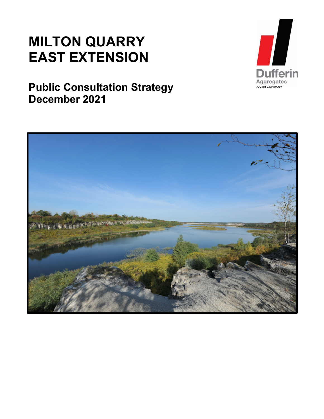## **MILTON QUARRY EAST EXTENSION**

**Public Consultation Strategy December 2021**



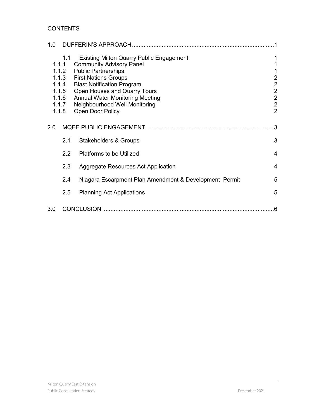#### **CONTENTS**

| 1.0   |                                                                    |                                                                                                                                                                                                                                                                                                                     |                                                                                                                      |
|-------|--------------------------------------------------------------------|---------------------------------------------------------------------------------------------------------------------------------------------------------------------------------------------------------------------------------------------------------------------------------------------------------------------|----------------------------------------------------------------------------------------------------------------------|
| 1.1.1 | 1.1<br>1.1.2<br>1.1.3<br>1.1.4<br>1.1.5<br>1.1.6<br>1.1.7<br>1.1.8 | <b>Existing Milton Quarry Public Engagement</b><br><b>Community Advisory Panel</b><br><b>Public Partnerships</b><br><b>First Nations Groups</b><br><b>Blast Notification Program</b><br>Open Houses and Quarry Tours<br><b>Annual Water Monitoring Meeting</b><br>Neighbourhood Well Monitoring<br>Open Door Policy | 1<br>1<br>1<br>$\overline{c}$<br>$\overline{2}$<br>$\overline{2}$<br>$\mathbf 2$<br>$\overline{c}$<br>$\overline{2}$ |
| 2.0   |                                                                    |                                                                                                                                                                                                                                                                                                                     | $\mathcal{B}$                                                                                                        |
|       | 2.1                                                                | <b>Stakeholders &amp; Groups</b>                                                                                                                                                                                                                                                                                    | 3                                                                                                                    |
|       | $2.2\phantom{0}$                                                   | <b>Platforms to be Utilized</b>                                                                                                                                                                                                                                                                                     | $\overline{4}$                                                                                                       |
|       | 2.3                                                                | Aggregate Resources Act Application                                                                                                                                                                                                                                                                                 | 4                                                                                                                    |
|       | 2.4                                                                | Niagara Escarpment Plan Amendment & Development Permit                                                                                                                                                                                                                                                              | 5                                                                                                                    |
|       | 2.5                                                                | <b>Planning Act Applications</b>                                                                                                                                                                                                                                                                                    | 5                                                                                                                    |
| 3.0   |                                                                    | CONCLUSION.                                                                                                                                                                                                                                                                                                         | .6                                                                                                                   |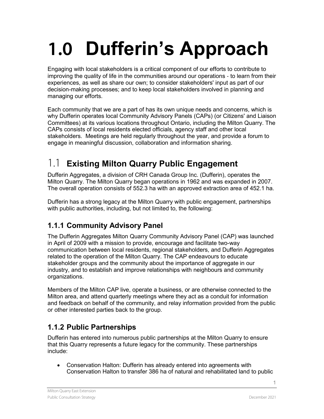# <span id="page-2-0"></span>**1.0 Dufferin's Approach**

Engaging with local stakeholders is a critical component of our efforts to contribute to improving the quality of life in the communities around our operations ‐ to learn from their experiences, as well as share our own; to consider stakeholders' input as part of our decision-making processes; and to keep local stakeholders involved in planning and managing our efforts.

Each community that we are a part of has its own unique needs and concerns, which is why Dufferin operates local Community Advisory Panels (CAPs) (or Citizens' and Liaison Committees) at its various locations throughout Ontario, including the Milton Quarry. The CAPs consists of local residents elected officials, agency staff and other local stakeholders. Meetings are held regularly throughout the year, and provide a forum to engage in meaningful discussion, collaboration and information sharing.

### <span id="page-2-1"></span>1.1 **Existing Milton Quarry Public Engagement**

Dufferin Aggregates, a division of CRH Canada Group Inc. (Dufferin), operates the Milton Quarry. The Milton Quarry began operations in 1962 and was expanded in 2007. The overall operation consists of 552.3 ha with an approved extraction area of 452.1 ha.

Dufferin has a strong legacy at the Milton Quarry with public engagement, partnerships with public authorities, including, but not limited to, the following:

#### <span id="page-2-2"></span>**1.1.1 Community Advisory Panel**

The Dufferin Aggregates Milton Quarry Community Advisory Panel (CAP) was launched in April of 2009 with a mission to provide, encourage and facilitate two-way communication between local residents, regional stakeholders, and Dufferin Aggregates related to the operation of the Milton Quarry. The CAP endeavours to educate stakeholder groups and the community about the importance of aggregate in our industry, and to establish and improve relationships with neighbours and community organizations.

Members of the Milton CAP live, operate a business, or are otherwise connected to the Milton area, and attend quarterly meetings where they act as a conduit for information and feedback on behalf of the community, and relay information provided from the public or other interested parties back to the group.

#### <span id="page-2-3"></span>**1.1.2 Public Partnerships**

Dufferin has entered into numerous public partnerships at the Milton Quarry to ensure that this Quarry represents a future legacy for the community. These partnerships include:

• Conservation Halton: Dufferin has already entered into agreements with Conservation Halton to transfer 386 ha of natural and rehabilitated land to public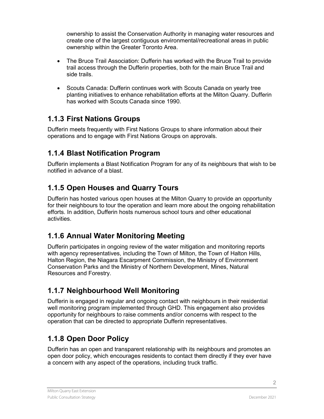ownership to assist the Conservation Authority in managing water resources and create one of the largest contiguous environmental/recreational areas in public ownership within the Greater Toronto Area.

- The Bruce Trail Association: Dufferin has worked with the Bruce Trail to provide trail access through the Dufferin properties, both for the main Bruce Trail and side trails.
- Scouts Canada: Dufferin continues work with Scouts Canada on yearly tree planting initiatives to enhance rehabilitation efforts at the Milton Quarry. Dufferin has worked with Scouts Canada since 1990.

#### <span id="page-3-0"></span>**1.1.3 First Nations Groups**

Dufferin meets frequently with First Nations Groups to share information about their operations and to engage with First Nations Groups on approvals.

#### <span id="page-3-1"></span>**1.1.4 Blast Notification Program**

Dufferin implements a Blast Notification Program for any of its neighbours that wish to be notified in advance of a blast.

#### <span id="page-3-2"></span>**1.1.5 Open Houses and Quarry Tours**

Dufferin has hosted various open houses at the Milton Quarry to provide an opportunity for their neighbours to tour the operation and learn more about the ongoing rehabilitation efforts. In addition, Dufferin hosts numerous school tours and other educational activities.

#### <span id="page-3-3"></span>**1.1.6 Annual Water Monitoring Meeting**

Dufferin participates in ongoing review of the water mitigation and monitoring reports with agency representatives, including the Town of Milton, the Town of Halton Hills, Halton Region, the Niagara Escarpment Commission, the Ministry of Environment Conservation Parks and the Ministry of Northern Development, Mines, Natural Resources and Forestry.

#### <span id="page-3-4"></span>**1.1.7 Neighbourhood Well Monitoring**

Dufferin is engaged in regular and ongoing contact with neighbours in their residential well monitoring program implemented through GHD. This engagement also provides opportunity for neighbours to raise comments and/or concerns with respect to the operation that can be directed to appropriate Dufferin representatives.

#### <span id="page-3-5"></span>**1.1.8 Open Door Policy**

Dufferin has an open and transparent relationship with its neighbours and promotes an open door policy, which encourages residents to contact them directly if they ever have a concern with any aspect of the operations, including truck traffic.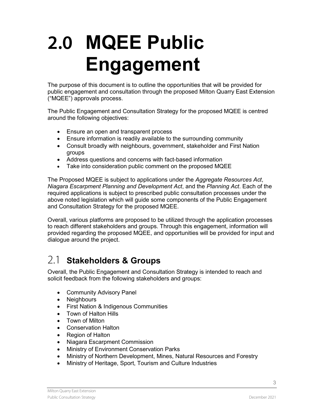## <span id="page-4-0"></span>**2.0 MQEE Public Engagement**

The purpose of this document is to outline the opportunities that will be provided for public engagement and consultation through the proposed Milton Quarry East Extension ("MQEE") approvals process.

The Public Engagement and Consultation Strategy for the proposed MQEE is centred around the following objectives:

- Ensure an open and transparent process
- Ensure information is readily available to the surrounding community
- Consult broadly with neighbours, government, stakeholder and First Nation groups
- Address questions and concerns with fact-based information
- Take into consideration public comment on the proposed MQEE

The Proposed MQEE is subject to applications under the *Aggregate Resources Act*, *Niagara Escarpment Planning and Development Act*, and the *Planning Act*. Each of the required applications is subject to prescribed public consultation processes under the above noted legislation which will guide some components of the Public Engagement and Consultation Strategy for the proposed MQEE.

Overall, various platforms are proposed to be utilized through the application processes to reach different stakeholders and groups. Through this engagement, information will provided regarding the proposed MQEE, and opportunities will be provided for input and dialogue around the project.

### <span id="page-4-1"></span>2.1 **Stakeholders & Groups**

Overall, the Public Engagement and Consultation Strategy is intended to reach and solicit feedback from the following stakeholders and groups:

- Community Advisory Panel
- Neighbours
- First Nation & Indigenous Communities
- Town of Halton Hills
- Town of Milton
- Conservation Halton
- Region of Halton
- Niagara Escarpment Commission
- Ministry of Environment Conservation Parks
- Ministry of Northern Development, Mines, Natural Resources and Forestry
- Ministry of Heritage, Sport, Tourism and Culture Industries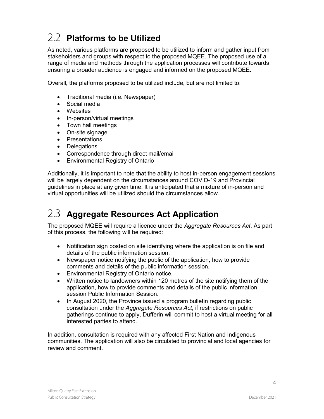## <span id="page-5-0"></span>2.2 **Platforms to be Utilized**

As noted, various platforms are proposed to be utilized to inform and gather input from stakeholders and groups with respect to the proposed MQEE. The proposed use of a range of media and methods through the application processes will contribute towards ensuring a broader audience is engaged and informed on the proposed MQEE.

Overall, the platforms proposed to be utilized include, but are not limited to:

- Traditional media (i.e. Newspaper)
- Social media
- Websites
- In-person/virtual meetings
- Town hall meetings
- On-site signage
- Presentations
- Delegations
- Correspondence through direct mail/email
- Environmental Registry of Ontario

Additionally, it is important to note that the ability to host in-person engagement sessions will be largely dependent on the circumstances around COVID-19 and Provincial guidelines in place at any given time. It is anticipated that a mixture of in-person and virtual opportunities will be utilized should the circumstances allow.

### <span id="page-5-1"></span>2.3 **Aggregate Resources Act Application**

The proposed MQEE will require a licence under the *Aggregate Resources Act*. As part of this process, the following will be required:

- Notification sign posted on site identifying where the application is on file and details of the public information session.
- Newspaper notice notifying the public of the application, how to provide comments and details of the public information session.
- Environmental Registry of Ontario notice.
- Written notice to landowners within 120 metres of the site notifying them of the application, how to provide comments and details of the public information session Public Information Session.
- In August 2020, the Province issued a program bulletin regarding public consultation under the *Aggregate Resources Act*, if restrictions on public gatherings continue to apply, Dufferin will commit to host a virtual meeting for all interested parties to attend.

In addition, consultation is required with any affected First Nation and Indigenous communities. The application will also be circulated to provincial and local agencies for review and comment.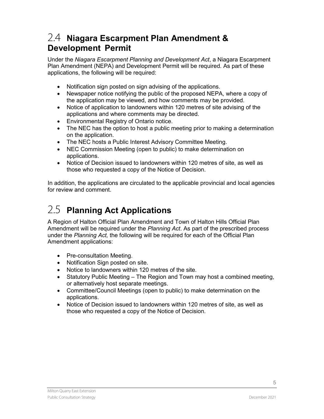#### <span id="page-6-0"></span>2.4 **Niagara Escarpment Plan Amendment & Development Permit**

Under the *Niagara Escarpment Planning and Development Act*, a Niagara Escarpment Plan Amendment (NEPA) and Development Permit will be required. As part of these applications, the following will be required:

- Notification sign posted on sign advising of the applications.
- Newspaper notice notifying the public of the proposed NEPA, where a copy of the application may be viewed, and how comments may be provided.
- Notice of application to landowners within 120 metres of site advising of the applications and where comments may be directed.
- Environmental Registry of Ontario notice.
- The NEC has the option to host a public meeting prior to making a determination on the application.
- The NEC hosts a Public Interest Advisory Committee Meeting.
- NEC Commission Meeting (open to public) to make determination on applications.
- Notice of Decision issued to landowners within 120 metres of site, as well as those who requested a copy of the Notice of Decision.

In addition, the applications are circulated to the applicable provincial and local agencies for review and comment.

## <span id="page-6-1"></span>2.5 **Planning Act Applications**

A Region of Halton Official Plan Amendment and Town of Halton Hills Official Plan Amendment will be required under the *Planning Act*. As part of the prescribed process under the *Planning Act,* the following will be required for each of the Official Plan Amendment applications:

- Pre-consultation Meeting.
- Notification Sign posted on site.
- Notice to landowners within 120 metres of the site.
- Statutory Public Meeting The Region and Town may host a combined meeting, or alternatively host separate meetings.
- Committee/Council Meetings (open to public) to make determination on the applications.
- Notice of Decision issued to landowners within 120 metres of site, as well as those who requested a copy of the Notice of Decision.